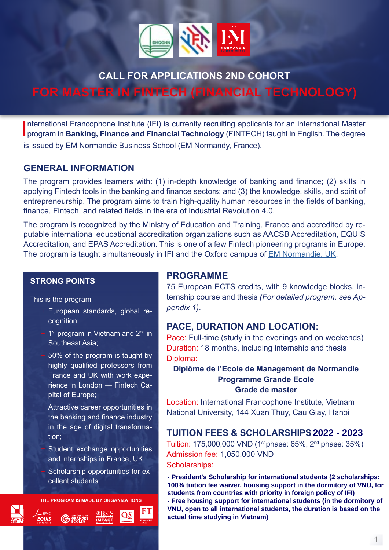

# **CALL FOR APPLICATIONS 2ND COHORT**

**FOR MASTER IN FINTECH (FINANCIAL TECHNOLOGY)**

International Francophone Institute (IFI) is currently recruiting applicants for an international Master<br>program in **Banking, Finance and Financial Technology** (FINTECH) taught in English. The degree nternational Francophone Institute (IFI) is currently recruiting applicants for an international Master is issued by EM Normandie Business School (EM Normandy, France).

## **GENERAL INFORMATION**

The program provides learners with: (1) in-depth knowledge of banking and finance; (2) skills in applying Fintech tools in the banking and finance sectors; and (3) the knowledge, skills, and spirit of entrepreneurship. The program aims to train high-quality human resources in the fields of banking, finance, Fintech, and related fields in the era of Industrial Revolution 4.0.

The program is recognized by the Ministry of Education and Training, France and accredited by reputable international educational accreditation organizations such as AACSB Accreditation, EQUIS Accreditation, and EPAS Accreditation. This is one of a few Fintech pioneering programs in Europe. The program is taught simultaneously in IFI and the Oxford campus of [EM Normandie, UK](https://www.em-normandie.com/en/msc-banking-finance-and-fintech).

#### **STRONG POINTS**

This is the program

- + European standards, global recognition;
- $+$  1<sup>st</sup> program in Vietnam and 2<sup>nd</sup> in Southeast Asia;
- + 50% of the program is taught by highly qualified professors from France and UK with work experience in London — Fintech Capital of Europe;
- + Attractive career opportunities in the banking and finance industry in the age of digital transformation;
- Student exchange opportunities and internships in France, UK.

Scholarship opportunities for excellent students.

**THE PROGRAM IS MADE BY ORGANIZATIONS**



# FT

## **PROGRAMME**

75 European ECTS credits, with 9 knowledge blocks, internship course and thesis *(For detailed program, see Appendix 1)*.

## **PACE, DURATION AND LOCATION:**

Pace: Full-time (study in the evenings and on weekends) Duration: 18 months, including internship and thesis Diploma:

## **Diplôme de l'Ecole de Management de Normandie Programme Grande Ecole Grade de master**

Location: International Francophone Institute, Vietnam National University, 144 Xuan Thuy, Cau Giay, Hanoi

## **TUITION FEES & SCHOLARSHIPS (2021-2022) 2022 - 2023**

Tuition: 175,000,000 VND (1st phase: 65%, 2nd phase: 35%) Admission fee: 1,050,000 VND Scholarships:

- President's Scholarship for international students (2 scholarships: 100% tuition fee waiver, housing support in the dormitory of VNU, for students from countries with priority in foreign policy of IPI)<br>- Free housing support for international students (in the dormitory of **students from countries with priority in foreign policy of IFI) VNU, open to all international students, the duration is based on the actual time studying in Vietnam)**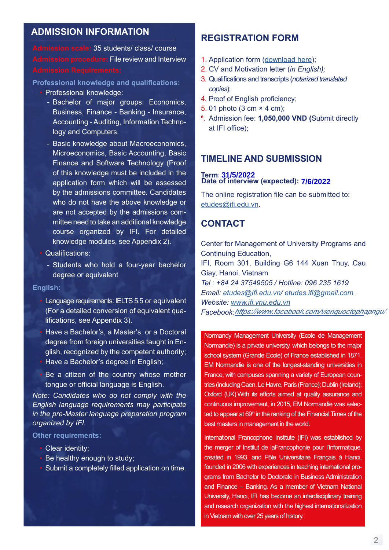## **ADMISSION INFORMATION**

**Admission scale:** 35 students/ class/ course **Admission procedure:** File review and Interview

**Professional knowledge and qualifications:**

- Professional knowledge:
	- Bachelor of major groups: Economics, Business, Finance - Banking - Insurance, Accounting - Auditing, Information Technology and Computers.
	- Basic knowledge about Macroeconomics, Microeconomics, Basic Accounting, Basic Finance and Software Technology (Proof of this knowledge must be included in the application form which will be assessed by the admissions committee. Candidates who do not have the above knowledge or are not accepted by the admissions committee need to take an additional knowledge course organized by IFI. For detailed knowledge modules, see Appendix 2).
- Qualifications:
	- Students who hold a four-year bachelor degree or equivalent

#### **English:**

- Language requirements: IELTS 5.5 or equivalent (For a detailed conversion of equivalent qualifications, see Appendix 3).
- Have a Bachelor's, a Master's, or a Doctoral degree from foreign universities taught in English, recognized by the competent authority; • Have a Bachelor's degree in English:
- Be a citizen of the country whose mother tongue or official language is English.

*Note: Candidates who do not comply with the English language requirements may participate in the pre-Master language preparation program organized by IFI.*

#### **Other requirements:**

- Clear identity;
- Be healthy enough to study;
- Submit a completely filled application on time.

## **REGISTRATION FORM**

- 1. Application form [\(download here](https://drive.google.com/file/d/1Fo6HijkohLObRRUZB5wjTzQFjpBlRHnf/view?usp=sharing));
- 2. CV and Motivation letter (*in English);*
- 3. Qualifications and transcripts (*notarized translated copies*);
- 4. Proof of English proficiency;
- 5. 01 photo (3 cm × 4 cm);
- 6. Admission fee: **1,050,000 VND (**Submit directly at IFI office);

## **TIMELINE AND SUBMISSION**

#### **Term: 31/5/2022** Date of interview (expected): 7/6/2022

The online registration file can be submitted to: [etudes@ifi.edu.vn](mailto:etudes@ifi.edu.vn).

## **CONTACT**

Center for Management of University Programs and Continuing Education, IFI, Room 301, Building G6 144 Xuan Thuy, Cau Giay, Hanoi, Vietnam *Tel : +84 24 37549505 / Hotline: 096 235 1619 Email: [etudes@ifi.edu.vn](mailto:etudes@ifi.edu.vn)/ [etudes.ifi@gmail.com](mailto:etudes.ifi@gmail.com  )  Website: [www.ifi.vnu.edu.vn](http://www.ifi.vnu.edu.vn) Facebook: https://www.facebook.com/vienquoctep[ha](https://www.facebook.com/IFI.VNU )pngu/*

Normandy Management University (Ecole de Management Normandie) is a private university, which belongs to the major school system (Grande Ecole) of France established in 1871. EM Normandie is one of the longest-standing universities in France, with campuses spanning a variety of European countries (including Caen, Le Havre, Paris (France); Dublin (Ireland); Oxford (UK).With its efforts aimed at quality assurance and continuous improvement, in 2015, EM Normandie was selected to appear at 69<sup>th</sup> in the ranking of the Financial Times of the best masters in management in the world.

International Francophone Institute (IFI) was established by the merger of Institut de laFrancophonie pour l'Informatique, created in 1993, and Pôle Universitaire Français à Hanoi, founded in 2006 with experiences in teaching international programs from Bachelor to Doctorate in Business Administration and Finance – Banking. As a member of Vietnam National University, Hanoi, IFI has become an interdisciplinary training and research organization with the highest internationalization in Vietnam with over 25 years of history.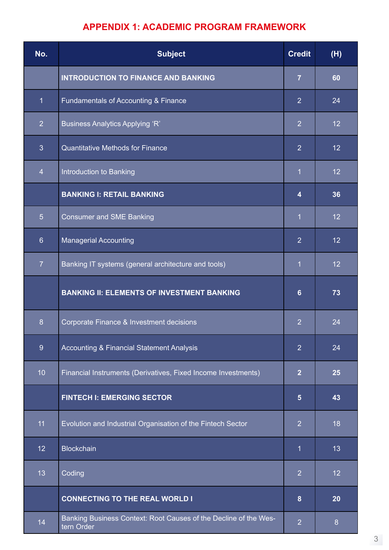# **APPENDIX 1: ACADEMIC PROGRAM FRAMEWORK**

| No.              | <b>Subject</b>                                                                 | <b>Credit</b>   | (H) |
|------------------|--------------------------------------------------------------------------------|-----------------|-----|
|                  | <b>INTRODUCTION TO FINANCE AND BANKING</b>                                     | $\overline{7}$  | 60  |
| $\mathbf{1}$     | Fundamentals of Accounting & Finance                                           | $\overline{2}$  | 24  |
| $\overline{2}$   | <b>Business Analytics Applying 'R'</b>                                         | $\overline{2}$  | 12  |
| 3                | <b>Quantitative Methods for Finance</b>                                        | $\overline{2}$  | 12  |
| $\overline{4}$   | Introduction to Banking                                                        | $\overline{1}$  | 12  |
|                  | <b>BANKING I: RETAIL BANKING</b>                                               | 4               | 36  |
| $5\overline{)}$  | <b>Consumer and SME Banking</b>                                                | $\overline{1}$  | 12  |
| $6 \overline{6}$ | <b>Managerial Accounting</b>                                                   | $\overline{2}$  | 12  |
| $\overline{7}$   | Banking IT systems (general architecture and tools)                            | $\overline{1}$  | 12  |
|                  | <b>BANKING II: ELEMENTS OF INVESTMENT BANKING</b>                              | $6\phantom{a}$  | 73  |
| 8                | Corporate Finance & Investment decisions                                       | $\overline{2}$  | 24  |
| 9                | <b>Accounting &amp; Financial Statement Analysis</b>                           | $\overline{2}$  | 24  |
| 10               | Financial Instruments (Derivatives, Fixed Income Investments)                  | $\overline{2}$  | 25  |
|                  | <b>FINTECH I: EMERGING SECTOR</b>                                              | $5\phantom{.0}$ | 43  |
| 11               | Evolution and Industrial Organisation of the Fintech Sector                    | $\overline{2}$  | 18  |
| 12               | <b>Blockchain</b>                                                              | 1               | 13  |
| 13               | Coding                                                                         | $\overline{2}$  | 12  |
|                  | <b>CONNECTING TO THE REAL WORLD I</b>                                          | 8               | 20  |
| 14               | Banking Business Context: Root Causes of the Decline of the Wes-<br>tern Order | $\overline{2}$  | 8   |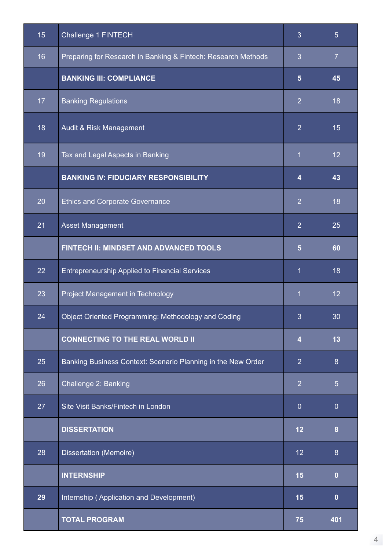| 15              | Challenge 1 FINTECH                                           | 3              | 5 <sup>5</sup>   |
|-----------------|---------------------------------------------------------------|----------------|------------------|
| 16              | Preparing for Research in Banking & Fintech: Research Methods | 3              | $\overline{7}$   |
|                 | <b>BANKING III: COMPLIANCE</b>                                | $5\phantom{.}$ | 45               |
| 17 <sub>2</sub> | <b>Banking Regulations</b>                                    | $\overline{2}$ | 18               |
| 18              | Audit & Risk Management                                       | $\overline{2}$ | 15               |
| 19              | Tax and Legal Aspects in Banking                              | $\mathbf 1$    | 12               |
|                 | <b>BANKING IV: FIDUCIARY RESPONSIBILITY</b>                   | 4              | 43               |
| 20              | <b>Ethics and Corporate Governance</b>                        | $\overline{2}$ | 18               |
| 21              | <b>Asset Management</b>                                       | $\overline{2}$ | 25               |
|                 | FINTECH II: MINDSET AND ADVANCED TOOLS                        | $5\phantom{.}$ | 60               |
| 22              | <b>Entrepreneurship Applied to Financial Services</b>         | 1              | 18               |
| 23              | Project Management in Technology                              | $\mathbf 1$    | 12               |
| 24              | Object Oriented Programming: Methodology and Coding           | 3              | 30               |
|                 | <b>CONNECTING TO THE REAL WORLD II</b>                        | 4              | 13               |
| 25              | Banking Business Context: Scenario Planning in the New Order  | $\overline{2}$ | $\boldsymbol{8}$ |
| 26              | Challenge 2: Banking                                          | $\overline{2}$ | $\overline{5}$   |
| 27              | Site Visit Banks/Fintech in London                            | $\overline{0}$ | $\theta$         |
|                 | <b>DISSERTATION</b>                                           | 12             | $\boldsymbol{8}$ |
| 28              | Dissertation (Memoire)                                        | 12             | 8                |
|                 | <b>INTERNSHIP</b>                                             | 15             | $\bf{0}$         |
| 29              | Internship (Application and Development)                      | 15             | $\mathbf 0$      |
|                 | <b>TOTAL PROGRAM</b>                                          | 75             | 401              |